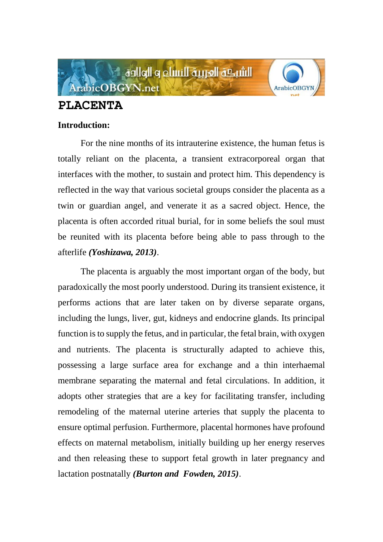

# **PLACENTA**

# **Introduction:**

For the nine months of its intrauterine existence, the human fetus is totally reliant on the placenta, a transient extracorporeal organ that interfaces with the mother, to sustain and protect him. This dependency is reflected in the way that various societal groups consider the placenta as a twin or guardian angel, and venerate it as a sacred object. Hence, the placenta is often accorded ritual burial, for in some beliefs the soul must be reunited with its placenta before being able to pass through to the afterlife *(Yoshizawa, 2013)*.

The placenta is arguably the most important organ of the body, but paradoxically the most poorly understood. During its transient existence, it performs actions that are later taken on by diverse separate organs, including the lungs, liver, gut, kidneys and endocrine glands. Its principal function is to supply the fetus, and in particular, the fetal brain, with oxygen and nutrients. The placenta is structurally adapted to achieve this, possessing a large surface area for exchange and a thin interhaemal membrane separating the maternal and fetal circulations. In addition, it adopts other strategies that are a key for facilitating transfer, including remodeling of the maternal uterine arteries that supply the placenta to ensure optimal perfusion. Furthermore, placental hormones have profound effects on maternal metabolism, initially building up her energy reserves and then releasing these to support fetal growth in later pregnancy and lactation postnatally *(Burton and Fowden, 2015)*.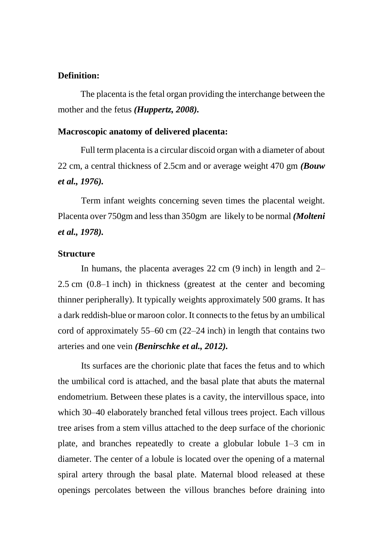# **Definition:**

The placenta is the fetal organ providing the interchange between the mother and the fetus *(Huppertz, 2008).*

#### **Macroscopic anatomy of delivered placenta:**

Full term placenta is a circular discoid organ with a diameter of about 22 cm, a central thickness of 2.5cm and or average weight 470 gm *(Bouw et al., 1976).*

Term infant weights concerning seven times the placental weight. Placenta over 750gm and less than 350gm are likely to be normal *(Molteni et al., 1978).*

#### **Structure**

In humans, the placenta averages 22 cm (9 inch) in length and 2– 2.5 cm (0.8–1 inch) in thickness (greatest at the center and becoming thinner peripherally). It typically weights approximately 500 grams. It has a dark reddish-blue or maroon color. It connects to the fetus by an umbilical cord of approximately 55–60 cm (22–24 inch) in length that contains two arteries and one vein *(Benirschke et al., 2012).*

Its surfaces are the chorionic plate that faces the fetus and to which the umbilical cord is attached, and the basal plate that abuts the maternal endometrium. Between these plates is a cavity, the intervillous space, into which 30–40 elaborately branched fetal villous trees project. Each villous tree arises from a stem villus attached to the deep surface of the chorionic plate, and branches repeatedly to create a globular lobule 1–3 cm in diameter. The center of a lobule is located over the opening of a maternal spiral artery through the basal plate. Maternal blood released at these openings percolates between the villous branches before draining into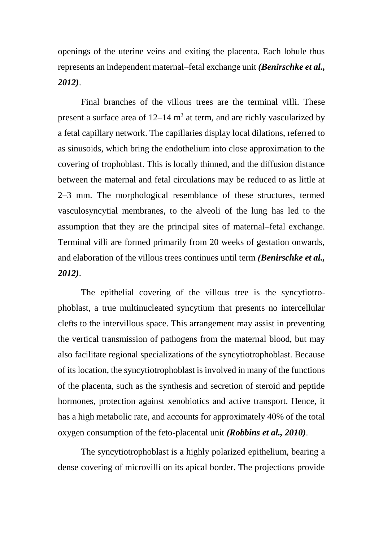openings of the uterine veins and exiting the placenta. Each lobule thus represents an independent maternal–fetal exchange unit *(Benirschke et al., 2012)*.

Final branches of the villous trees are the terminal villi. These present a surface area of  $12-14$  m<sup>2</sup> at term, and are richly vascularized by a fetal capillary network. The capillaries display local dilations, referred to as sinusoids, which bring the endothelium into close approximation to the covering of trophoblast. This is locally thinned, and the diffusion distance between the maternal and fetal circulations may be reduced to as little at 2–3 mm. The morphological resemblance of these structures, termed vasculosyncytial membranes, to the alveoli of the lung has led to the assumption that they are the principal sites of maternal–fetal exchange. Terminal villi are formed primarily from 20 weeks of gestation onwards, and elaboration of the villous trees continues until term *(Benirschke et al., 2012)*.

The epithelial covering of the villous tree is the syncytiotrophoblast, a true multinucleated syncytium that presents no intercellular clefts to the intervillous space. This arrangement may assist in preventing the vertical transmission of pathogens from the maternal blood, but may also facilitate regional specializations of the syncytiotrophoblast. Because of its location, the syncytiotrophoblast is involved in many of the functions of the placenta, such as the synthesis and secretion of steroid and peptide hormones, protection against xenobiotics and active transport. Hence, it has a high metabolic rate, and accounts for approximately 40% of the total oxygen consumption of the feto-placental unit *(Robbins et al., 2010)*.

The syncytiotrophoblast is a highly polarized epithelium, bearing a dense covering of microvilli on its apical border. The projections provide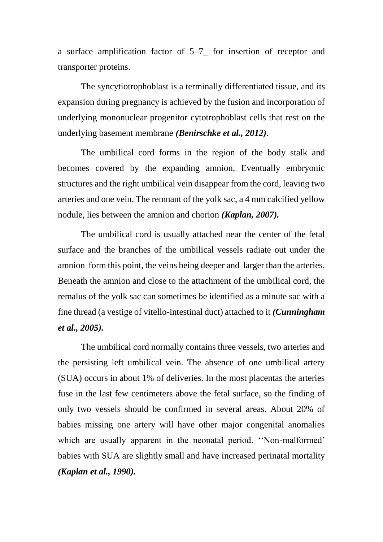a surface amplification factor of 5–7\_ for insertion of receptor and transporter proteins.

The syncytiotrophoblast is a terminally differentiated tissue, and its expansion during pregnancy is achieved by the fusion and incorporation of underlying mononuclear progenitor cytotrophoblast cells that rest on the underlying basement membrane *(Benirschke et al., 2012)*.

The umbilical cord forms in the region of the body stalk and becomes covered by the expanding amnion. Eventually embryonic structures and the right umbilical vein disappear from the cord, leaving two arteries and one vein. The remnant of the yolk sac, a 4 mm calcified yellow nodule, lies between the amnion and chorion *(Kaplan, 2007).*

The umbilical cord is usually attached near the center of the fetal surface and the branches of the umbilical vessels radiate out under the amnion form this point, the veins being deeper and larger than the arteries. Beneath the amnion and close to the attachment of the umbilical cord, the remalus of the yolk sac can sometimes be identified as a minute sac with a fine thread (a vestige of vitello-intestinal duct) attached to it *(Cunningham et al., 2005).*

The umbilical cord normally contains three vessels, two arteries and the persisting left umbilical vein. The absence of one umbilical artery (SUA) occurs in about 1% of deliveries. In the most placentas the arteries fuse in the last few centimeters above the fetal surface, so the finding of only two vessels should be confirmed in several areas. About 20% of babies missing one artery will have other major congenital anomalies which are usually apparent in the neonatal period. ''Non-malformed' babies with SUA are slightly small and have increased perinatal mortality *(Kaplan et al., 1990).*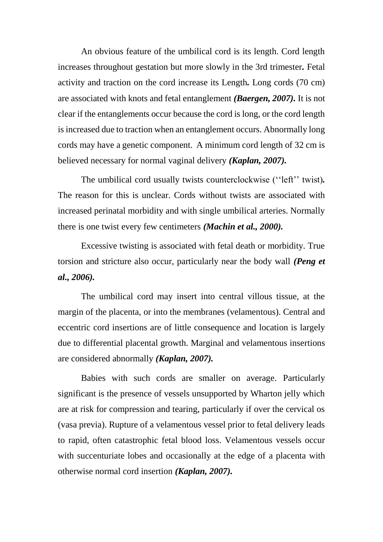An obvious feature of the umbilical cord is its length. Cord length increases throughout gestation but more slowly in the 3rd trimester*.* Fetal activity and traction on the cord increase its Length*.* Long cords (70 cm) are associated with knots and fetal entanglement *(Baergen, 2007).* It is not clear if the entanglements occur because the cord is long, or the cord length is increased due to traction when an entanglement occurs. Abnormally long cords may have a genetic component. A minimum cord length of 32 cm is believed necessary for normal vaginal delivery *(Kaplan, 2007).*

The umbilical cord usually twists counterclockwise (''left'' twist)*.* The reason for this is unclear. Cords without twists are associated with increased perinatal morbidity and with single umbilical arteries. Normally there is one twist every few centimeters *(Machin et al., 2000).*

Excessive twisting is associated with fetal death or morbidity. True torsion and stricture also occur, particularly near the body wall *(Peng et al., 2006).*

The umbilical cord may insert into central villous tissue, at the margin of the placenta, or into the membranes (velamentous). Central and eccentric cord insertions are of little consequence and location is largely due to differential placental growth. Marginal and velamentous insertions are considered abnormally *(Kaplan, 2007).*

Babies with such cords are smaller on average. Particularly significant is the presence of vessels unsupported by Wharton jelly which are at risk for compression and tearing, particularly if over the cervical os (vasa previa). Rupture of a velamentous vessel prior to fetal delivery leads to rapid, often catastrophic fetal blood loss. Velamentous vessels occur with succenturiate lobes and occasionally at the edge of a placenta with otherwise normal cord insertion *(Kaplan, 2007).*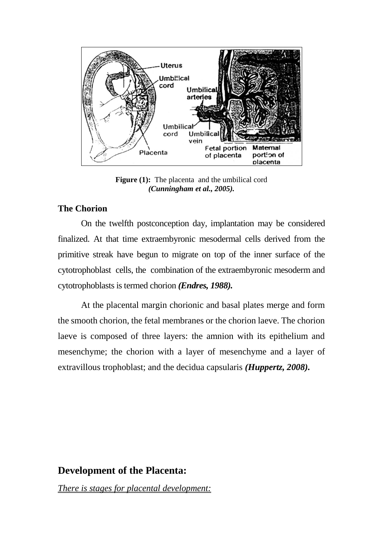

**Figure (1):** The placenta and the umbilical cord *(Cunningham et al., 2005).*

# **The Chorion**

On the twelfth postconception day, implantation may be considered finalized. At that time extraembyronic mesodermal cells derived from the primitive streak have begun to migrate on top of the inner surface of the cytotrophoblast cells, the combination of the extraembyronic mesoderm and cytotrophoblasts is termed chorion *(Endres, 1988).* 

At the placental margin chorionic and basal plates merge and form the smooth chorion, the fetal membranes or the chorion laeve. The chorion laeve is composed of three layers: the amnion with its epithelium and mesenchyme; the chorion with a layer of mesenchyme and a layer of extravillous trophoblast; and the decidua capsularis *(Huppertz, 2008).*

# **Development of the Placenta:**

*There is stages for placental development:*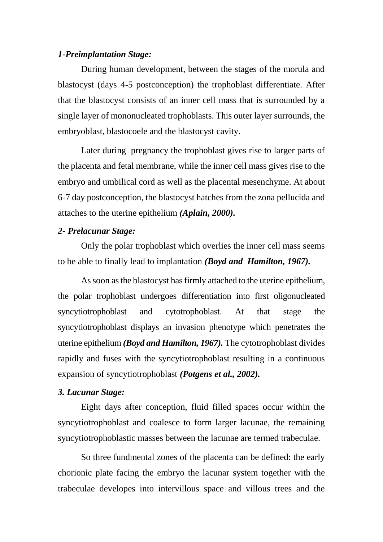## *1-Preimplantation Stage:*

During human development, between the stages of the morula and blastocyst (days 4-5 postconception) the trophoblast differentiate. After that the blastocyst consists of an inner cell mass that is surrounded by a single layer of mononucleated trophoblasts. This outer layer surrounds, the embryoblast, blastocoele and the blastocyst cavity.

Later during pregnancy the trophoblast gives rise to larger parts of the placenta and fetal membrane, while the inner cell mass gives rise to the embryo and umbilical cord as well as the placental mesenchyme. At about 6-7 day postconception, the blastocyst hatches from the zona pellucida and attaches to the uterine epithelium *(Aplain, 2000).*

#### *2- Prelacunar Stage:*

Only the polar trophoblast which overlies the inner cell mass seems to be able to finally lead to implantation *(Boyd and Hamilton, 1967).*

As soon as the blastocyst has firmly attached to the uterine epithelium, the polar trophoblast undergoes differentiation into first oligonucleated syncytiotrophoblast and cytotrophoblast. At that stage the syncytiotrophoblast displays an invasion phenotype which penetrates the uterine epithelium *(Boyd and Hamilton, 1967).* The cytotrophoblast divides rapidly and fuses with the syncytiotrophoblast resulting in a continuous expansion of syncytiotrophoblast *(Potgens et al., 2002).*

#### *3. Lacunar Stage:*

Eight days after conception, fluid filled spaces occur within the syncytiotrophoblast and coalesce to form larger lacunae, the remaining syncytiotrophoblastic masses between the lacunae are termed trabeculae.

So three fundmental zones of the placenta can be defined: the early chorionic plate facing the embryo the lacunar system together with the trabeculae developes into intervillous space and villous trees and the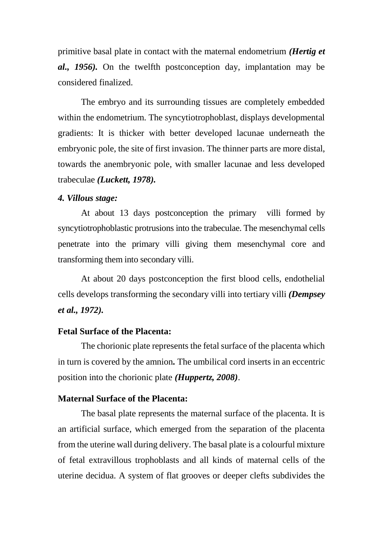primitive basal plate in contact with the maternal endometrium *(Hertig et al., 1956).* On the twelfth postconception day, implantation may be considered finalized.

The embryo and its surrounding tissues are completely embedded within the endometrium. The syncytiotrophoblast, displays developmental gradients: It is thicker with better developed lacunae underneath the embryonic pole, the site of first invasion. The thinner parts are more distal, towards the anembryonic pole, with smaller lacunae and less developed trabeculae *(Luckett, 1978).*

#### *4. Villous stage:*

At about 13 days postconception the primary villi formed by syncytiotrophoblastic protrusions into the trabeculae. The mesenchymal cells penetrate into the primary villi giving them mesenchymal core and transforming them into secondary villi.

At about 20 days postconception the first blood cells, endothelial cells develops transforming the secondary villi into tertiary villi *(Dempsey et al., 1972).*

#### **Fetal Surface of the Placenta:**

The chorionic plate represents the fetal surface of the placenta which in turn is covered by the amnion*.* The umbilical cord inserts in an eccentric position into the chorionic plate *(Huppertz, 2008)*.

## **Maternal Surface of the Placenta:**

The basal plate represents the maternal surface of the placenta. It is an artificial surface, which emerged from the separation of the placenta from the uterine wall during delivery. The basal plate is a colourful mixture of fetal extravillous trophoblasts and all kinds of maternal cells of the uterine decidua. A system of flat grooves or deeper clefts subdivides the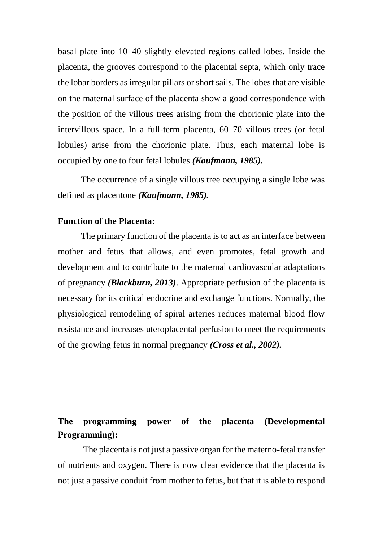basal plate into 10–40 slightly elevated regions called lobes. Inside the placenta, the grooves correspond to the placental septa, which only trace the lobar borders as irregular pillars or short sails. The lobes that are visible on the maternal surface of the placenta show a good correspondence with the position of the villous trees arising from the chorionic plate into the intervillous space. In a full-term placenta, 60–70 villous trees (or fetal lobules) arise from the chorionic plate. Thus, each maternal lobe is occupied by one to four fetal lobules *(Kaufmann, 1985).*

The occurrence of a single villous tree occupying a single lobe was defined as placentone *(Kaufmann, 1985).*

#### **Function of the Placenta:**

The primary function of the placenta is to act as an interface between mother and fetus that allows, and even promotes, fetal growth and development and to contribute to the maternal cardiovascular adaptations of pregnancy *(Blackburn, 2013)*. Appropriate perfusion of the placenta is necessary for its critical endocrine and exchange functions. Normally, the physiological remodeling of spiral arteries reduces maternal blood flow resistance and increases uteroplacental perfusion to meet the requirements of the growing fetus in normal pregnancy *(Cross et al., 2002).*

# **The programming power of the placenta (Developmental Programming):**

The placenta is not just a passive organ for the materno-fetal transfer of nutrients and oxygen. There is now clear evidence that the placenta is not just a passive conduit from mother to fetus, but that it is able to respond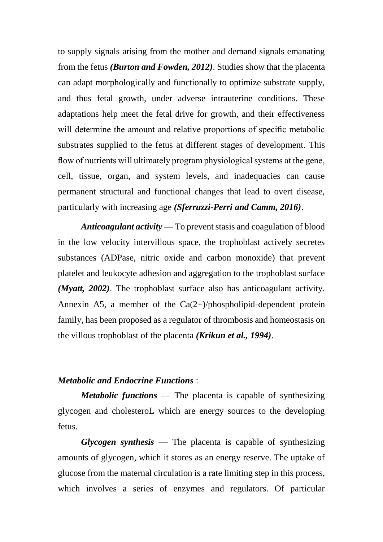to supply signals arising from the mother and demand signals emanating from the fetus *(Burton and Fowden, 2012)*. Studies show that the placenta can adapt morphologically and functionally to optimize substrate supply, and thus fetal growth, under adverse intrauterine conditions. These adaptations help meet the fetal drive for growth, and their effectiveness will determine the amount and relative proportions of specific metabolic substrates supplied to the fetus at different stages of development. This flow of nutrients will ultimately program physiological systems at the gene, cell, tissue, organ, and system levels, and inadequacies can cause permanent structural and functional changes that lead to overt disease, particularly with increasing age *(Sferruzzi-Perri and Camm, 2016)*.

*Anticoagulant activity* — To prevent stasis and coagulation of blood in the low velocity intervillous space, the trophoblast actively secretes substances (ADPase, nitric oxide and carbon monoxide) that prevent platelet and leukocyte adhesion and aggregation to the trophoblast surface *(Myatt, 2002)*. The trophoblast surface also has anticoagulant activity. Annexin A5, a member of the  $Ca(2+)$ /phospholipid-dependent protein family, has been proposed as a regulator of thrombosis and homeostasis on the villous trophoblast of the placenta *(Krikun et al., 1994)*.

# *Metabolic and Endocrine Functions* :

*Metabolic functions* — The placenta is capable of synthesizing glycogen and cholesteroL which are energy sources to the developing fetus.

*Glycogen synthesis* — The placenta is capable of synthesizing amounts of glycogen, which it stores as an energy reserve. The uptake of glucose from the maternal circulation is a rate limiting step in this process, which involves a series of enzymes and regulators. Of particular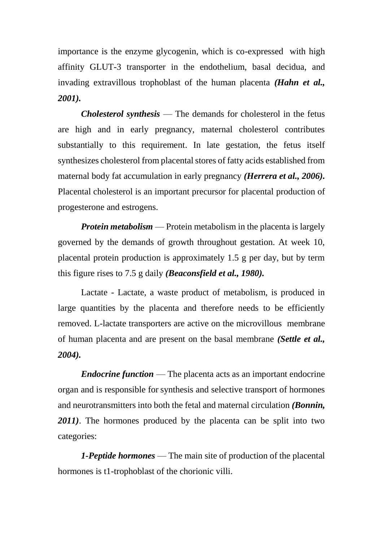importance is the enzyme glycogenin, which is co-expressed with high affinity GLUT-3 transporter in the endothelium, basal decidua, and invading extravillous trophoblast of the human placenta *(Hahn et al., 2001).*

*Cholesterol synthesis* — The demands for cholesterol in the fetus are high and in early pregnancy, maternal cholesterol contributes substantially to this requirement. In late gestation, the fetus itself synthesizes cholesterol from placental stores of fatty acids established from maternal body fat accumulation in early pregnancy *(Herrera et al., 2006).* Placental cholesterol is an important precursor for placental production of progesterone and estrogens.

*Protein metabolism* — Protein metabolism in the placenta is largely governed by the demands of growth throughout gestation. At week 10, placental protein production is approximately 1.5 g per day, but by term this figure rises to 7.5 g daily *(Beaconsfield et al., 1980).*

Lactate - Lactate, a waste product of metabolism, is produced in large quantities by the placenta and therefore needs to be efficiently removed. L-lactate transporters are active on the microvillous membrane of human placenta and are present on the basal membrane *(Settle et al., 2004).*

*Endocrine function* — The placenta acts as an important endocrine organ and is responsible for synthesis and selective transport of hormones and neurotransmitters into both the fetal and maternal circulation *(Bonnin, 2011)*. The hormones produced by the placenta can be split into two categories:

*1-Peptide hormones* — The main site of production of the placental hormones is t1-trophoblast of the chorionic villi.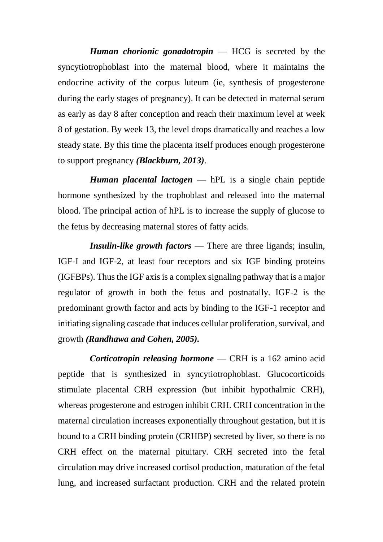*Human chorionic gonadotropin* — HCG is secreted by the syncytiotrophoblast into the maternal blood, where it maintains the endocrine activity of the corpus luteum (ie, synthesis of progesterone during the early stages of pregnancy). It can be detected in maternal serum as early as day 8 after conception and reach their maximum level at week 8 of gestation. By week 13, the level drops dramatically and reaches a low steady state. By this time the placenta itself produces enough progesterone to support pregnancy *(Blackburn, 2013)*.

*Human placental lactogen* — hPL is a single chain peptide hormone synthesized by the trophoblast and released into the maternal blood. The principal action of hPL is to increase the supply of glucose to the fetus by decreasing maternal stores of fatty acids.

*Insulin-like growth factors* — There are three ligands; insulin, IGF-I and IGF-2, at least four receptors and six IGF binding proteins (IGFBPs). Thus the IGF axis is a complex signaling pathway that is a major regulator of growth in both the fetus and postnatally. IGF-2 is the predominant growth factor and acts by binding to the IGF-1 receptor and initiating signaling cascade that induces cellular proliferation, survival, and growth *(Randhawa and Cohen, 2005).*

*Corticotropin releasing hormone* — CRH is a 162 amino acid peptide that is synthesized in syncytiotrophoblast. Glucocorticoids stimulate placental CRH expression (but inhibit hypothalmic CRH), whereas progesterone and estrogen inhibit CRH. CRH concentration in the maternal circulation increases exponentially throughout gestation, but it is bound to a CRH binding protein (CRHBP) secreted by liver, so there is no CRH effect on the maternal pituitary. CRH secreted into the fetal circulation may drive increased cortisol production, maturation of the fetal lung, and increased surfactant production. CRH and the related protein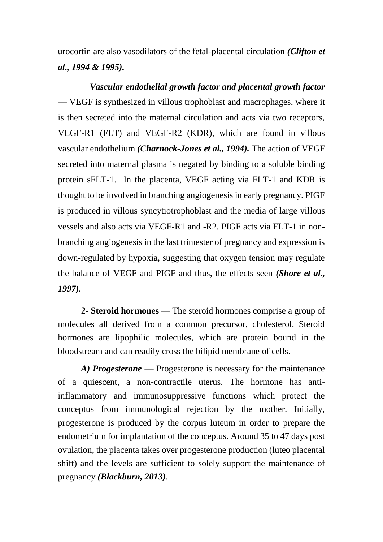urocortin are also vasodilators of the fetal-placental circulation *(Clifton et al., 1994 & 1995).*

*Vascular endothelial growth factor and placental growth factor* — VEGF is synthesized in villous trophoblast and macrophages, where it is then secreted into the maternal circulation and acts via two receptors, VEGF-R1 (FLT) and VEGF-R2 (KDR), which are found in villous vascular endothelium *(Charnock-Jones et al., 1994).* The action of VEGF secreted into maternal plasma is negated by binding to a soluble binding protein sFLT-1. In the placenta, VEGF acting via FLT-1 and KDR is thought to be involved in branching angiogenesis in early pregnancy. PIGF is produced in villous syncytiotrophoblast and the media of large villous vessels and also acts via VEGF-R1 and -R2. PIGF acts via FLT-1 in nonbranching angiogenesis in the last trimester of pregnancy and expression is down-regulated by hypoxia, suggesting that oxygen tension may regulate the balance of VEGF and PIGF and thus, the effects seen *(Shore et al., 1997).* 

**2- Steroid hormones** — The steroid hormones comprise a group of molecules all derived from a common precursor, cholesterol. Steroid hormones are lipophilic molecules, which are protein bound in the bloodstream and can readily cross the bilipid membrane of cells.

*A) Progesterone* — Progesterone is necessary for the maintenance of a quiescent, a non-contractile uterus. The hormone has antiinflammatory and immunosuppressive functions which protect the conceptus from immunological rejection by the mother. Initially, progesterone is produced by the corpus luteum in order to prepare the endometrium for implantation of the conceptus. Around 35 to 47 days post ovulation, the placenta takes over progesterone production (luteo placental shift) and the levels are sufficient to solely support the maintenance of pregnancy *(Blackburn, 2013)*.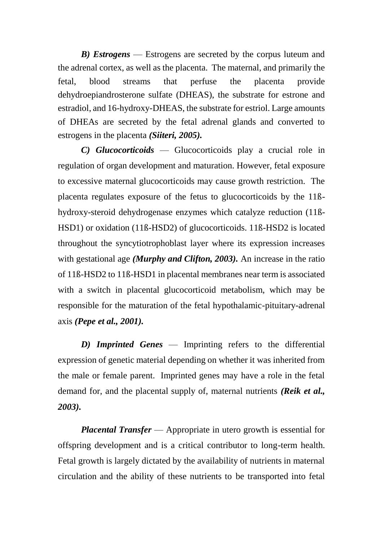*B) Estrogens* — Estrogens are secreted by the corpus luteum and the adrenal cortex, as well as the placenta. The maternal, and primarily the fetal, blood streams that perfuse the placenta provide dehydroepiandrosterone sulfate (DHEAS), the substrate for estrone and estradiol, and 16-hydroxy-DHEAS, the substrate for estriol. Large amounts of DHEAs are secreted by the fetal adrenal glands and converted to estrogens in the placenta *(Siiteri, 2005).* 

*C) Glucocorticoids* — Glucocorticoids play a crucial role in regulation of organ development and maturation. However, fetal exposure to excessive maternal glucocorticoids may cause growth restriction. The placenta regulates exposure of the fetus to glucocorticoids by the 11ßhydroxy-steroid dehydrogenase enzymes which catalyze reduction (11ß-HSD1) or oxidation (11ß-HSD2) of glucocorticoids. 11ß-HSD2 is located throughout the syncytiotrophoblast layer where its expression increases with gestational age *(Murphy and Clifton, 2003).* An increase in the ratio of 11ß-HSD2 to 11ß-HSD1 in placental membranes near term is associated with a switch in placental glucocorticoid metabolism, which may be responsible for the maturation of the fetal hypothalamic-pituitary-adrenal axis *(Pepe et al., 2001).*

*D) Imprinted Genes* — Imprinting refers to the differential expression of genetic material depending on whether it was inherited from the male or female parent. Imprinted genes may have a role in the fetal demand for, and the placental supply of, maternal nutrients *(Reik et al., 2003).*

*Placental Transfer* — Appropriate in utero growth is essential for offspring development and is a critical contributor to long-term health. Fetal growth is largely dictated by the availability of nutrients in maternal circulation and the ability of these nutrients to be transported into fetal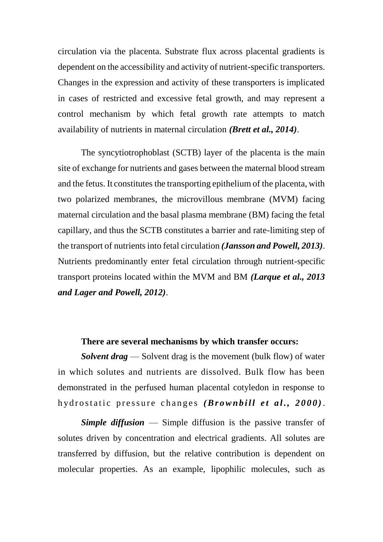circulation via the placenta. Substrate flux across placental gradients is dependent on the accessibility and activity of nutrient-specific transporters. Changes in the expression and activity of these transporters is implicated in cases of restricted and excessive fetal growth, and may represent a control mechanism by which fetal growth rate attempts to match availability of nutrients in maternal circulation *(Brett et al., 2014)*.

The syncytiotrophoblast (SCTB) layer of the placenta is the main site of exchange for nutrients and gases between the maternal blood stream and the fetus. It constitutes the transporting epithelium of the placenta, with two polarized membranes, the microvillous membrane (MVM) facing maternal circulation and the basal plasma membrane (BM) facing the fetal capillary, and thus the SCTB constitutes a barrier and rate-limiting step of the transport of nutrients into fetal circulation *(Jansson and Powell, 2013)*. Nutrients predominantly enter fetal circulation through nutrient-specific transport proteins located within the MVM and BM *(Larque et al., 2013 and Lager and Powell, 2012)*.

#### **There are several mechanisms by which transfer occurs:**

*Solvent drag* — Solvent drag is the movement (bulk flow) of water in which solutes and nutrients are dissolved. Bulk flow has been demonstrated in the perfused human placental cotyledon in response to hydrostatic pressure changes *(Brownbill et al., 2000)*.

*Simple diffusion* — Simple diffusion is the passive transfer of solutes driven by concentration and electrical gradients. All solutes are transferred by diffusion, but the relative contribution is dependent on molecular properties. As an example, lipophilic molecules, such as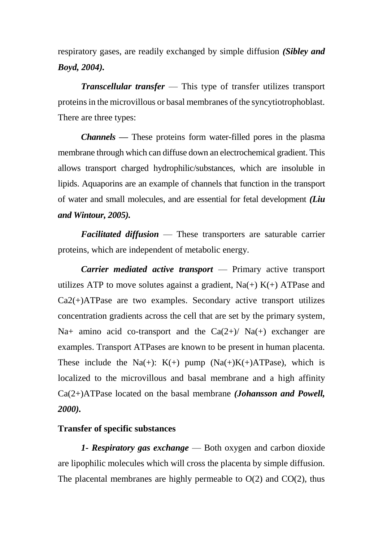respiratory gases, are readily exchanged by simple diffusion *(Sibley and Boyd, 2004).* 

*Transcellular transfer* — This type of transfer utilizes transport proteins in the microvillous or basal membranes of the syncytiotrophoblast. There are three types:

*Channels —* These proteins form water-filled pores in the plasma membrane through which can diffuse down an electrochemical gradient. This allows transport charged hydrophilic/substances, which are insoluble in lipids. Aquaporins are an example of channels that function in the transport of water and small molecules, and are essential for fetal development *(Liu and Wintour, 2005).*

*Facilitated diffusion* — These transporters are saturable carrier proteins, which are independent of metabolic energy.

*Carrier mediated active transport* — Primary active transport utilizes ATP to move solutes against a gradient,  $Na(+) K(+) ATP$ ase and Ca2(+)ATPase are two examples. Secondary active transport utilizes concentration gradients across the cell that are set by the primary system, Na+ amino acid co-transport and the  $Ca(2+)$ / Na(+) exchanger are examples. Transport ATPases are known to be present in human placenta. These include the Na(+):  $K(+)$  pump  $(Na(+)K(+)ATPase)$ , which is localized to the microvillous and basal membrane and a high affinity Ca(2+)ATPase located on the basal membrane *(Johansson and Powell, 2000).*

## **Transfer of specific substances**

*1- Respiratory gas exchange* — Both oxygen and carbon dioxide are lipophilic molecules which will cross the placenta by simple diffusion. The placental membranes are highly permeable to  $O(2)$  and  $CO(2)$ , thus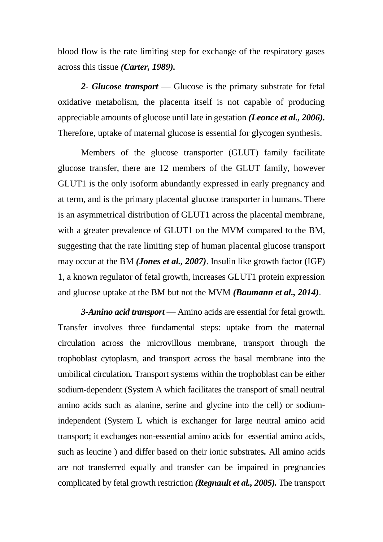blood flow is the rate limiting step for exchange of the respiratory gases across this tissue *(Carter, 1989).*

*2- Glucose transport* — Glucose is the primary substrate for fetal oxidative metabolism, the placenta itself is not capable of producing appreciable amounts of glucose until late in gestation *(Leonce et al., 2006).* Therefore, uptake of maternal glucose is essential for glycogen synthesis.

Members of the glucose transporter (GLUT) family facilitate glucose transfer, there are 12 members of the GLUT family, however GLUT1 is the only isoform abundantly expressed in early pregnancy and at term, and is the primary placental glucose transporter in humans. There is an asymmetrical distribution of GLUT1 across the placental membrane, with a greater prevalence of GLUT1 on the MVM compared to the BM, suggesting that the rate limiting step of human placental glucose transport may occur at the BM *(Jones et al., 2007)*. Insulin like growth factor (IGF) 1, a known regulator of fetal growth, increases GLUT1 protein expression and glucose uptake at the BM but not the MVM *(Baumann et al., 2014)*.

*3-Amino acid transport* — Amino acids are essential for fetal growth. Transfer involves three fundamental steps: uptake from the maternal circulation across the microvillous membrane, transport through the trophoblast cytoplasm, and transport across the basal membrane into the umbilical circulation*.* Transport systems within the trophoblast can be either sodium-dependent (System A which facilitates the transport of small neutral amino acids such as alanine, serine and glycine into the cell) or sodiumindependent (System L which is exchanger for large neutral amino acid transport; it exchanges non-essential amino acids for essential amino acids, such as leucine ) and differ based on their ionic substrates*.* All amino acids are not transferred equally and transfer can be impaired in pregnancies complicated by fetal growth restriction *(Regnault et al., 2005).* The transport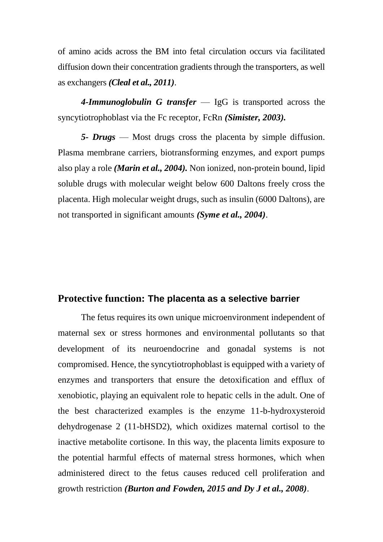of amino acids across the BM into fetal circulation occurs via facilitated diffusion down their concentration gradients through the transporters, as well as exchangers *(Cleal et al., 2011)*.

*4-Immunoglobulin G transfer* — IgG is transported across the syncytiotrophoblast via the Fc receptor, FcRn *(Simister, 2003).*

*5- Drugs* — Most drugs cross the placenta by simple diffusion. Plasma membrane carriers, biotransforming enzymes, and export pumps also play a role *(Marin et al., 2004).* Non ionized, non-protein bound, lipid soluble drugs with molecular weight below 600 Daltons freely cross the placenta. High molecular weight drugs, such as insulin (6000 Daltons), are not transported in significant amounts *(Syme et al., 2004)*.

#### **Protective function: The placenta as a selective barrier**

The fetus requires its own unique microenvironment independent of maternal sex or stress hormones and environmental pollutants so that development of its neuroendocrine and gonadal systems is not compromised. Hence, the syncytiotrophoblast is equipped with a variety of enzymes and transporters that ensure the detoxification and efflux of xenobiotic, playing an equivalent role to hepatic cells in the adult. One of the best characterized examples is the enzyme 11-b-hydroxysteroid dehydrogenase 2 (11-bHSD2), which oxidizes maternal cortisol to the inactive metabolite cortisone. In this way, the placenta limits exposure to the potential harmful effects of maternal stress hormones, which when administered direct to the fetus causes reduced cell proliferation and growth restriction *(Burton and Fowden, 2015 and Dy J et al., 2008)*.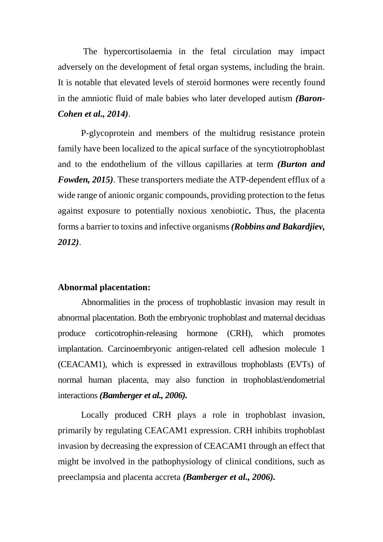The hypercortisolaemia in the fetal circulation may impact adversely on the development of fetal organ systems, including the brain. It is notable that elevated levels of steroid hormones were recently found in the amniotic fluid of male babies who later developed autism *(Baron-Cohen et al., 2014)*.

P-glycoprotein and members of the multidrug resistance protein family have been localized to the apical surface of the syncytiotrophoblast and to the endothelium of the villous capillaries at term *(Burton and Fowden, 2015)*. These transporters mediate the ATP-dependent efflux of a wide range of anionic organic compounds, providing protection to the fetus against exposure to potentially noxious xenobiotic*.* Thus, the placenta forms a barrier to toxins and infective organisms *(Robbins and Bakardjiev, 2012)*.

#### **Abnormal placentation:**

Abnormalities in the process of trophoblastic invasion may result in abnormal placentation. Both the embryonic trophoblast and maternal deciduas produce corticotrophin-releasing hormone (CRH), which promotes implantation. Carcinoembryonic antigen-related cell adhesion molecule 1 (CEACAM1), which is expressed in extravillous trophoblasts (EVTs) of normal human placenta, may also function in trophoblast/endometrial interactions *(Bamberger et al., 2006).*

Locally produced CRH plays a role in trophoblast invasion, primarily by regulating CEACAM1 expression. CRH inhibits trophoblast invasion by decreasing the expression of CEACAM1 through an effect that might be involved in the pathophysiology of clinical conditions, such as preeclampsia and placenta accreta *(Bamberger et al., 2006).*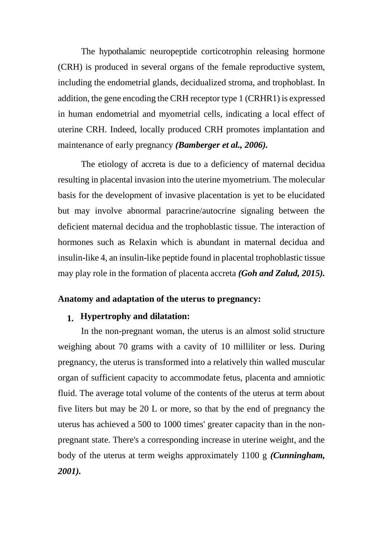The hypothalamic neuropeptide corticotrophin releasing hormone (CRH) is produced in several organs of the female reproductive system, including the endometrial glands, decidualized stroma, and trophoblast. In addition, the gene encoding the CRH receptor type 1 (CRHR1) is expressed in human endometrial and myometrial cells, indicating a local effect of uterine CRH. Indeed, locally produced CRH promotes implantation and maintenance of early pregnancy *(Bamberger et al., 2006).*

The etiology of accreta is due to a deficiency of maternal decidua resulting in placental invasion into the uterine myometrium. The molecular basis for the development of invasive placentation is yet to be elucidated but may involve abnormal paracrine/autocrine signaling between the deficient maternal decidua and the trophoblastic tissue. The interaction of hormones such as Relaxin which is abundant in maternal decidua and insulin-like 4, an insulin-like peptide found in placental trophoblastic tissue may play role in the formation of placenta accreta *(Goh and Zalud, 2015).*

#### **Anatomy and adaptation of the uterus to pregnancy:**

#### **1. Hypertrophy and dilatation:**

In the non-pregnant woman, the uterus is an almost solid structure weighing about 70 grams with a cavity of 10 milliliter or less. During pregnancy, the uterus is transformed into a relatively thin walled muscular organ of sufficient capacity to accommodate fetus, placenta and amniotic fluid. The average total volume of the contents of the uterus at term about five liters but may be 20 L or more, so that by the end of pregnancy the uterus has achieved a 500 to 1000 times' greater capacity than in the nonpregnant state. There's a corresponding increase in uterine weight, and the body of the uterus at term weighs approximately 1100 g *(Cunningham, 2001).*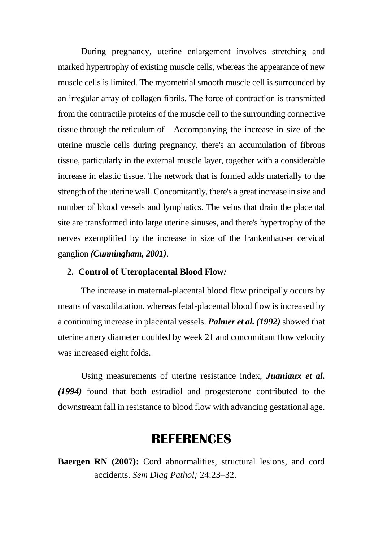During pregnancy, uterine enlargement involves stretching and marked hypertrophy of existing muscle cells, whereas the appearance of new muscle cells is limited. The myometrial smooth muscle cell is surrounded by an irregular array of collagen fibrils. The force of contraction is transmitted from the contractile proteins of the muscle cell to the surrounding connective tissue through the reticulum of Accompanying the increase in size of the uterine muscle cells during pregnancy, there's an accumulation of fibrous tissue, particularly in the external muscle layer, together with a considerable increase in elastic tissue. The network that is formed adds materially to the strength of the uterine wall. Concomitantly, there's a great increase in size and number of blood vessels and lymphatics. The veins that drain the placental site are transformed into large uterine sinuses, and there's hypertrophy of the nerves exemplified by the increase in size of the frankenhauser cervical ganglion *(Cunningham, 2001)*.

#### **2. Control of Uteroplacental Blood Flow***:*

The increase in maternal-placental blood flow principally occurs by means of vasodilatation, whereas fetal-placental blood flow is increased by a continuing increase in placental vessels. *Palmer et al. (1992)* showed that uterine artery diameter doubled by week 21 and concomitant flow velocity was increased eight folds.

Using measurements of uterine resistance index, *Juaniaux et al. (1994)* found that both estradiol and progesterone contributed to the downstream fall in resistance to blood flow with advancing gestational age.

# **REFERENCES**

**Baergen RN** (2007): Cord abnormalities, structural lesions, and cord accidents. *Sem Diag Pathol;* 24:23–32.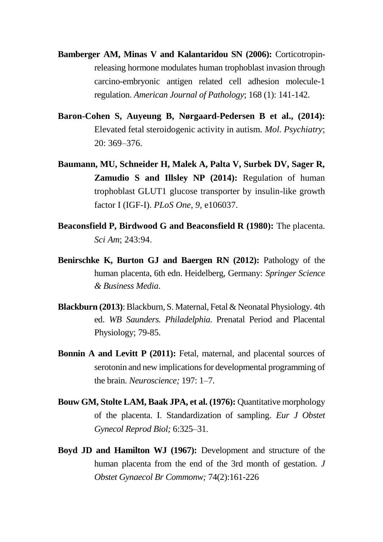- **Bamberger AM, Minas V and Kalantaridou SN (2006):** Corticotropinreleasing hormone modulates human trophoblast invasion through carcino-embryonic antigen related cell adhesion molecule-1 regulation. *American Journal of Pathology*; 168 (1): 141-142.
- **Baron-Cohen S, Auyeung B, Nørgaard-Pedersen B et al., (2014):** Elevated fetal steroidogenic activity in autism. *Mol. Psychiatry*; 20: 369–376.
- **Baumann, MU, Schneider H, Malek A, Palta V, Surbek DV, Sager R, Zamudio S and Illsley NP (2014):** Regulation of human trophoblast GLUT1 glucose transporter by insulin-like growth factor I (IGF-I). *PLoS One*, *9*, e106037.
- **Beaconsfield P, Birdwood G and Beaconsfield R (1980):** The placenta. *Sci Am*; 243:94.
- **Benirschke K, Burton GJ and Baergen RN (2012):** Pathology of the human placenta, 6th edn. Heidelberg, Germany: *Springer Science & Business Media*.
- **Blackburn (2013):** Blackburn, S. Maternal, Fetal & Neonatal Physiology. 4th ed. *WB Saunders. Philadelphia.* Prenatal Period and Placental Physiology; 79-85.
- **Bonnin A and Levitt P (2011):** Fetal, maternal, and placental sources of serotonin and new implications for developmental programming of the brain. *Neuroscience;* 197: 1–7.
- **Bouw GM, Stolte LAM, Baak JPA, et al. (1976):** Quantitative morphology of the placenta. I. Standardization of sampling. *Eur J Obstet Gynecol Reprod Biol;* 6:325–31.
- **Boyd JD and Hamilton WJ (1967):** Development and structure of the human placenta from the end of the 3rd month of gestation. *J Obstet Gynaecol Br Commonw;* 74(2):161-226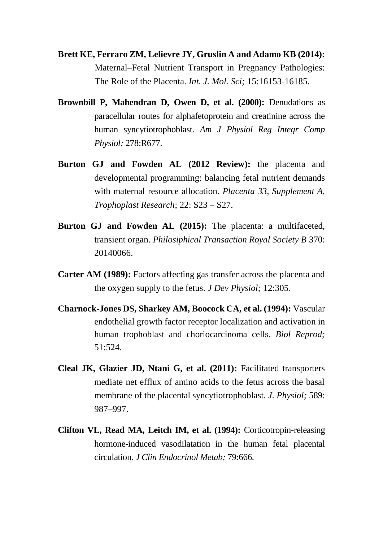- **Brett KE, Ferraro ZM, Lelievre JY, Gruslin A and Adamo KB (2014):** Maternal–Fetal Nutrient Transport in Pregnancy Pathologies: The Role of the Placenta. *Int. J. Mol. Sci;* 15:16153-16185.
- **Brownbill P, Mahendran D, Owen D, et al. (2000):** Denudations as paracellular routes for alphafetoprotein and creatinine across the human syncytiotrophoblast. *Am J Physiol Reg Integr Comp Physiol;* 278:R677.
- **Burton GJ and Fowden AL (2012 Review):** the placenta and developmental programming: balancing fetal nutrient demands with maternal resource allocation. *Placenta 33, Supplement A, Trophoplast Research*; 22: S23 – S27.
- **Burton GJ and Fowden AL (2015):** The placenta: a multifaceted, transient organ. *Philosiphical Transaction Royal Society B* 370: 20140066.
- **Carter AM (1989):** Factors affecting gas transfer across the placenta and the oxygen supply to the fetus. *J Dev Physiol;* 12:305.
- **Charnock-Jones DS, Sharkey AM, Boocock CA, et al. (1994):** Vascular endothelial growth factor receptor localization and activation in human trophoblast and choriocarcinoma cells. *Biol Reprod;* 51:524.
- **Cleal JK, Glazier JD, Ntani G, et al. (2011):** Facilitated transporters mediate net efflux of amino acids to the fetus across the basal membrane of the placental syncytiotrophoblast. *J. Physiol;* 589: 987–997.
- **Clifton VL, Read MA, Leitch IM, et al. (1994):** Corticotropin-releasing hormone-induced vasodilatation in the human fetal placental circulation. *J Clin Endocrinol Metab;* 79:666.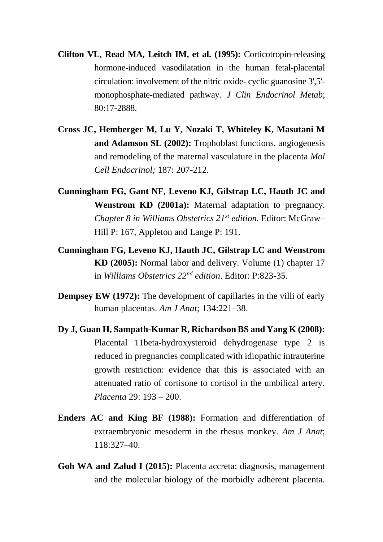- **Clifton VL, Read MA, Leitch IM, et al. (1995):** Corticotropin-releasing hormone-induced vasodilatation in the human fetal-placental circulation: involvement of the nitric oxide- cyclic guanosine 3',5' monophosphate-mediated pathway. *J Clin Endocrinol Metab*; 80:17-2888.
- **Cross JC, Hemberger M, Lu Y, Nozaki T, Whiteley K, Masutani M and Adamson SL (2002):** Trophoblast functions, angiogenesis and remodeling of the maternal vasculature in the placenta *Mol Cell Endocrinol;* 187: 207-212.
- **Cunningham FG, Gant NF, Leveno KJ, Gilstrap LC, Hauth JC and Wenstrom KD (2001a):** Maternal adaptation to pregnancy. *Chapter 8 in Williams Obstetrics 21st edition.* Editor: McGraw– Hill P: 167, Appleton and Lange P: 191.
- **Cunningham FG, Leveno KJ, Hauth JC, Gilstrap LC and Wenstrom KD (2005):** Normal labor and delivery. Volume (1) chapter 17 in *Williams Obstetrics 22nd edition*. Editor: P:823-35.
- **Dempsey EW (1972):** The development of capillaries in the villi of early human placentas. *Am J Anat;* 134:221–38.
- **Dy J, Guan H, Sampath-Kumar R, Richardson BS and Yang K (2008):**  Placental 11beta-hydroxysteroid dehydrogenase type 2 is reduced in pregnancies complicated with idiopathic intrauterine growth restriction: evidence that this is associated with an attenuated ratio of cortisone to cortisol in the umbilical artery. *Placenta* 29: 193 – 200.
- **Enders AC and King BF (1988):** Formation and differentiation of extraembryonic mesoderm in the rhesus monkey. *Am J Anat*; 118:327–40.
- **Goh WA and Zalud I (2015):** Placenta accreta: diagnosis, management and the molecular biology of the morbidly adherent placenta.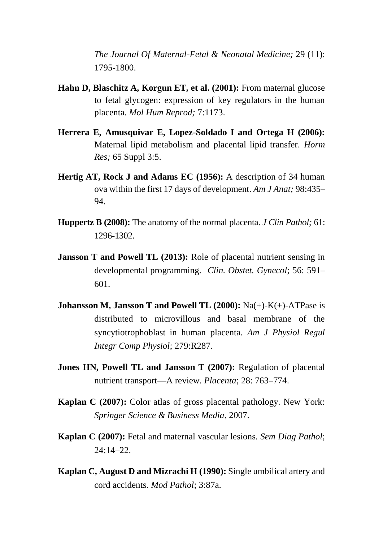*The Journal Of Maternal-Fetal & Neonatal Medicine;* 29 (11): 1795-1800.

- **Hahn D, Blaschitz A, Korgun ET, et al. (2001):** From maternal glucose to fetal glycogen: expression of key regulators in the human placenta. *Mol Hum Reprod;* 7:1173.
- **Herrera E, Amusquivar E, Lopez-Soldado I and Ortega H (2006):** Maternal lipid metabolism and placental lipid transfer. *Horm Res;* 65 Suppl 3:5.
- **Hertig AT, Rock J and Adams EC (1956):** A description of 34 human ova within the first 17 days of development. *Am J Anat;* 98:435– 94.
- **Huppertz B (2008):** The anatomy of the normal placenta. *J Clin Pathol;* 61: 1296-1302.
- **Jansson T and Powell TL (2013):** Role of placental nutrient sensing in developmental programming. *Clin. Obstet. Gynecol*; 56: 591– 601.
- **Johansson M, Jansson T and Powell TL (2000):** Na(+)-K(+)-ATPase is distributed to microvillous and basal membrane of the syncytiotrophoblast in human placenta. *Am J Physiol Regul Integr Comp Physiol*; 279:R287.
- **Jones HN, Powell TL and Jansson T (2007):** Regulation of placental nutrient transport—A review. *Placenta*; 28: 763–774.
- **Kaplan C (2007):** Color atlas of gross placental pathology. New York: *Springer Science & Business Media*, 2007.
- **Kaplan C (2007):** Fetal and maternal vascular lesions. *Sem Diag Pathol*; 24:14–22.
- **Kaplan C, August D and Mizrachi H (1990):** Single umbilical artery and cord accidents. *Mod Pathol*; 3:87a.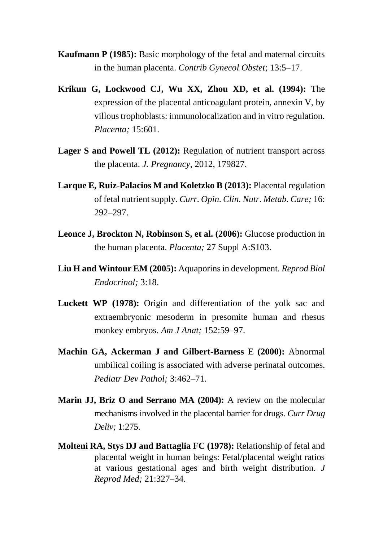- **Kaufmann P (1985):** Basic morphology of the fetal and maternal circuits in the human placenta. *Contrib Gynecol Obstet*; 13:5–17.
- **Krikun G, Lockwood CJ, Wu XX, Zhou XD, et al. (1994):** The expression of the placental anticoagulant protein, annexin V, by villous trophoblasts: immunolocalization and in vitro regulation. *Placenta;* 15:601.
- **Lager S and Powell TL (2012):** Regulation of nutrient transport across the placenta. *J. Pregnancy*, 2012, 179827.
- **Larque E, Ruiz-Palacios M and Koletzko B (2013):** Placental regulation of fetal nutrient supply. *Curr. Opin. Clin. Nutr. Metab. Care;* 16: 292–297.
- **Leonce J, Brockton N, Robinson S, et al. (2006):** Glucose production in the human placenta. *Placenta;* 27 Suppl A:S103.
- **Liu H and Wintour EM (2005):** Aquaporins in development. *Reprod Biol Endocrinol;* 3:18.
- **Luckett WP (1978):** Origin and differentiation of the yolk sac and extraembryonic mesoderm in presomite human and rhesus monkey embryos. *Am J Anat;* 152:59–97.
- **Machin GA, Ackerman J and Gilbert-Barness E (2000):** Abnormal umbilical coiling is associated with adverse perinatal outcomes. *Pediatr Dev Pathol;* 3:462–71.
- **Marin JJ, Briz O and Serrano MA (2004):** A review on the molecular mechanisms involved in the placental barrier for drugs. *Curr Drug Deliv;* 1:275.
- **Molteni RA, Stys DJ and Battaglia FC (1978):** Relationship of fetal and placental weight in human beings: Fetal/placental weight ratios at various gestational ages and birth weight distribution. *J Reprod Med;* 21:327–34.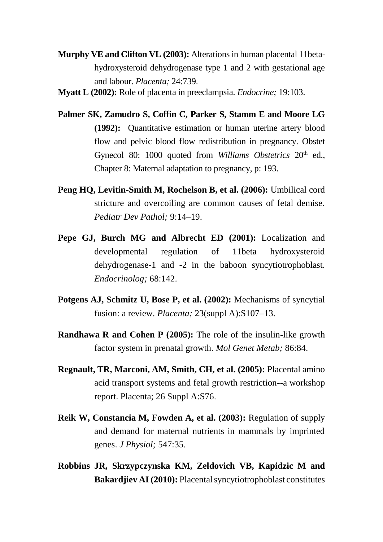- **Murphy VE and Clifton VL (2003):** Alterations in human placental 11betahydroxysteroid dehydrogenase type 1 and 2 with gestational age and labour. *Placenta;* 24:739.
- **Myatt L (2002):** Role of placenta in preeclampsia. *Endocrine;* 19:103.
- **Palmer SK, Zamudro S, Coffin C, Parker S, Stamm E and Moore LG (1992):** Quantitative estimation or human uterine artery blood flow and pelvic blood flow redistribution in pregnancy. Obstet Gynecol 80: 1000 quoted from *Williams Obstetrics* 20<sup>th</sup> ed., Chapter 8: Maternal adaptation to pregnancy, p: 193.
- **Peng HQ, Levitin-Smith M, Rochelson B, et al. (2006):** Umbilical cord stricture and overcoiling are common causes of fetal demise. *Pediatr Dev Pathol;* 9:14–19.
- **Pepe GJ, Burch MG and Albrecht ED (2001):** Localization and developmental regulation of 11beta hydroxysteroid dehydrogenase-1 and -2 in the baboon syncytiotrophoblast. *Endocrinolog;* 68:142.
- **Potgens AJ, Schmitz U, Bose P, et al. (2002):** Mechanisms of syncytial fusion: a review. *Placenta;* 23(suppl A):S107–13.
- **Randhawa R and Cohen P (2005):** The role of the insulin-like growth factor system in prenatal growth. *Mol Genet Metab;* 86:84.
- **Regnault, TR, Marconi, AM, Smith, CH, et al. (2005):** Placental amino acid transport systems and fetal growth restriction--a workshop report. Placenta; 26 Suppl A:S76.
- **Reik W, Constancia M, Fowden A, et al. (2003):** Regulation of supply and demand for maternal nutrients in mammals by imprinted genes. *J Physiol;* 547:35.
- **Robbins JR, Skrzypczynska KM, Zeldovich VB, Kapidzic M and Bakardjiev AI (2010):** Placental syncytiotrophoblast constitutes